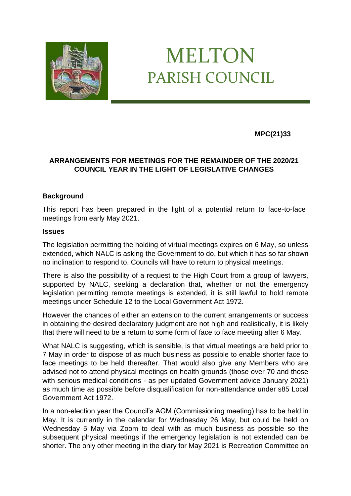

# MELTON PARISH COUNCIL

**MPC(21)33**

# **ARRANGEMENTS FOR MEETINGS FOR THE REMAINDER OF THE 2020/21 COUNCIL YEAR IN THE LIGHT OF LEGISLATIVE CHANGES**

### **Background**

This report has been prepared in the light of a potential return to face-to-face meetings from early May 2021.

#### **Issues**

The legislation permitting the holding of virtual meetings expires on 6 May, so unless extended, which NALC is asking the Government to do, but which it has so far shown no inclination to respond to, Councils will have to return to physical meetings.

There is also the possibility of a request to the High Court from a group of lawyers, supported by NALC, seeking a declaration that, whether or not the emergency legislation permitting remote meetings is extended, it is still lawful to hold remote meetings under Schedule 12 to the Local Government Act 1972.

However the chances of either an extension to the current arrangements or success in obtaining the desired declaratory judgment are not high and realistically, it is likely that there will need to be a return to some form of face to face meeting after 6 May.

What NALC is suggesting, which is sensible, is that virtual meetings are held prior to 7 May in order to dispose of as much business as possible to enable shorter face to face meetings to be held thereafter. That would also give any Members who are advised not to attend physical meetings on health grounds (those over 70 and those with serious medical conditions - as per updated Government advice January 2021) as much time as possible before disqualification for non-attendance under s85 Local Government Act 1972.

In a non-election year the Council's AGM (Commissioning meeting) has to be held in May. It is currently in the calendar for Wednesday 26 May, but could be held on Wednesday 5 May via Zoom to deal with as much business as possible so the subsequent physical meetings if the emergency legislation is not extended can be shorter. The only other meeting in the diary for May 2021 is Recreation Committee on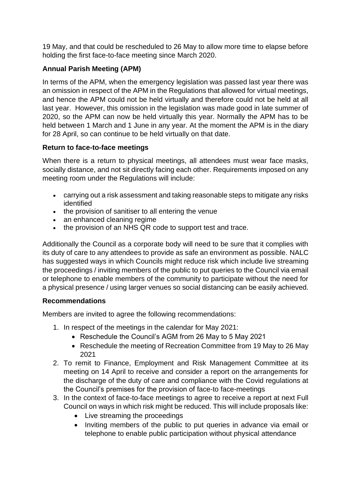19 May, and that could be rescheduled to 26 May to allow more time to elapse before holding the first face-to-face meeting since March 2020.

# **Annual Parish Meeting (APM)**

In terms of the APM, when the emergency legislation was passed last year there was an omission in respect of the APM in the Regulations that allowed for virtual meetings, and hence the APM could not be held virtually and therefore could not be held at all last year. However, this omission in the legislation was made good in late summer of 2020, so the APM can now be held virtually this year. Normally the APM has to be held between 1 March and 1 June in any year. At the moment the APM is in the diary for 28 April, so can continue to be held virtually on that date.

## **Return to face-to-face meetings**

When there is a return to physical meetings, all attendees must wear face masks, socially distance, and not sit directly facing each other. Requirements imposed on any meeting room under the Regulations will include:

- carrying out a risk assessment and taking reasonable steps to mitigate any risks identified
- the provision of sanitiser to all entering the venue
- an enhanced cleaning regime
- the provision of an NHS QR code to support test and trace.

Additionally the Council as a corporate body will need to be sure that it complies with its duty of care to any attendees to provide as safe an environment as possible. NALC has suggested ways in which Councils might reduce risk which include live streaming the proceedings / inviting members of the public to put queries to the Council via email or telephone to enable members of the community to participate without the need for a physical presence / using larger venues so social distancing can be easily achieved.

## **Recommendations**

Members are invited to agree the following recommendations:

- 1. In respect of the meetings in the calendar for May 2021:
	- Reschedule the Council's AGM from 26 May to 5 May 2021
	- Reschedule the meeting of Recreation Committee from 19 May to 26 May 2021
- 2. To remit to Finance, Employment and Risk Management Committee at its meeting on 14 April to receive and consider a report on the arrangements for the discharge of the duty of care and compliance with the Covid regulations at the Council's premises for the provision of face-to face-meetings
- 3. In the context of face-to-face meetings to agree to receive a report at next Full Council on ways in which risk might be reduced. This will include proposals like:
	- Live streaming the proceedings
	- Inviting members of the public to put queries in advance via email or telephone to enable public participation without physical attendance